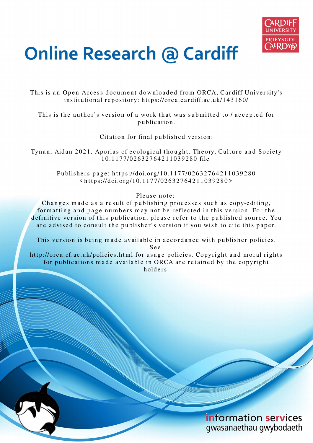

# **Online Research @ Cardiff**

This is an Open Access document downloaded from ORCA, Cardiff University's institutional repository: https://orca.cardiff.ac.uk/143160/

This is the author's version of a work that was submitted to / accepted for p u blication.

Citation for final published version:

Tynan, Aidan 2021. Aporias of ecological thought. Theory, Culture and Society 1 0.11 7 7/02 6 3 2 7 6 4 2 1 1 0 3 9 2 8 0 file

> Publishers page: https://doi.org/10.1177/02632764211039280  $\langle$ https://doi.org/10.1177/02632764211039280>

> > Please note:

Changes made as a result of publishing processes such as copy-editing, for matting and page numbers may not be reflected in this version. For the definitive version of this publication, please refer to the published source. You are advised to consult the publisher's version if you wish to cite this paper.

This version is being made available in accordance with publisher policies.

S e e

http://orca.cf.ac.uk/policies.html for usage policies. Copyright and moral rights for publications made available in ORCA are retained by the copyright holders

> information services gwasanaethau gwybodaeth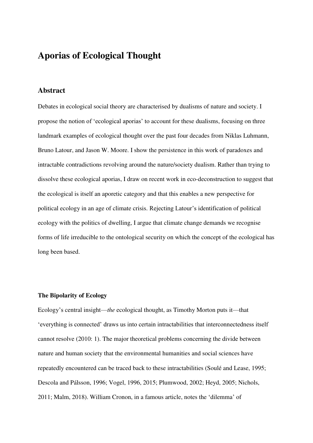# **Aporias of Ecological Thought**

### **Abstract**

Debates in ecological social theory are characterised by dualisms of nature and society. I propose the notion of 'ecological aporias' to account for these dualisms, focusing on three landmark examples of ecological thought over the past four decades from Niklas Luhmann, Bruno Latour, and Jason W. Moore. I show the persistence in this work of paradoxes and intractable contradictions revolving around the nature/society dualism. Rather than trying to dissolve these ecological aporias, I draw on recent work in eco-deconstruction to suggest that the ecological is itself an aporetic category and that this enables a new perspective for political ecology in an age of climate crisis. Rejecting Latour's identification of political ecology with the politics of dwelling, I argue that climate change demands we recognise forms of life irreducible to the ontological security on which the concept of the ecological has long been based.

#### **The Bipolarity of Ecology**

Ecology's central insight—*the* ecological thought, as Timothy Morton puts it—that 'everything is connected' draws us into certain intractabilities that interconnectedness itself cannot resolve (2010: 1). The major theoretical problems concerning the divide between nature and human society that the environmental humanities and social sciences have repeatedly encountered can be traced back to these intractabilities (Soulé and Lease, 1995; Descola and Pálsson, 1996; Vogel, 1996, 2015; Plumwood, 2002; Heyd, 2005; Nichols, 2011; Malm, 2018). William Cronon, in a famous article, notes the 'dilemma' of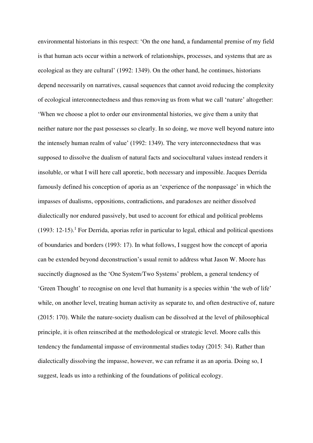environmental historians in this respect: 'On the one hand, a fundamental premise of my field is that human acts occur within a network of relationships, processes, and systems that are as ecological as they are cultural' (1992: 1349). On the other hand, he continues, historians depend necessarily on narratives, causal sequences that cannot avoid reducing the complexity of ecological interconnectedness and thus removing us from what we call 'nature' altogether: 'When we choose a plot to order our environmental histories, we give them a unity that neither nature nor the past possesses so clearly. In so doing, we move well beyond nature into the intensely human realm of value' (1992: 1349). The very interconnectedness that was supposed to dissolve the dualism of natural facts and sociocultural values instead renders it insoluble, or what I will here call aporetic, both necessary and impossible. Jacques Derrida famously defined his conception of aporia as an 'experience of the nonpassage' in which the impasses of dualisms, oppositions, contradictions, and paradoxes are neither dissolved dialectically nor endured passively, but used to account for ethical and political problems  $(1993: 12-15)$ .<sup>1</sup> For Derrida, aporias refer in particular to legal, ethical and political questions of boundaries and borders (1993: 17). In what follows, I suggest how the concept of aporia can be extended beyond deconstruction's usual remit to address what Jason W. Moore has succinctly diagnosed as the 'One System/Two Systems' problem, a general tendency of 'Green Thought' to recognise on one level that humanity is a species within 'the web of life' while, on another level, treating human activity as separate to, and often destructive of, nature (2015: 170). While the nature-society dualism can be dissolved at the level of philosophical principle, it is often reinscribed at the methodological or strategic level. Moore calls this tendency the fundamental impasse of environmental studies today (2015: 34). Rather than dialectically dissolving the impasse, however, we can reframe it as an aporia. Doing so, I suggest, leads us into a rethinking of the foundations of political ecology.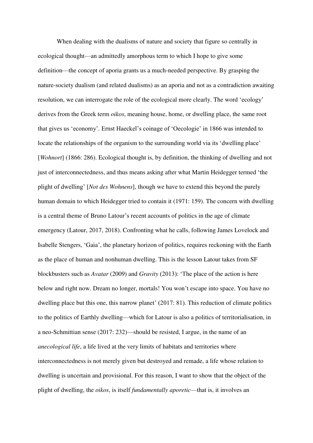When dealing with the dualisms of nature and society that figure so centrally in ecological thought—an admittedly amorphous term to which I hope to give some definition—the concept of aporia grants us a much-needed perspective. By grasping the nature-society dualism (and related dualisms) as an aporia and not as a contradiction awaiting resolution, we can interrogate the role of the ecological more clearly. The word 'ecology' derives from the Greek term *oikos*, meaning house, home, or dwelling place, the same root that gives us 'economy'. Ernst Haeckel's coinage of 'Oecologie' in 1866 was intended to locate the relationships of the organism to the surrounding world via its 'dwelling place' [*Wohnort*] (1866: 286). Ecological thought is, by definition, the thinking of dwelling and not just of interconnectedness, and thus means asking after what Martin Heidegger termed 'the plight of dwelling' [*Not des Wohnens*], though we have to extend this beyond the purely human domain to which Heidegger tried to contain it (1971: 159). The concern with dwelling is a central theme of Bruno Latour's recent accounts of politics in the age of climate emergency (Latour, 2017, 2018). Confronting what he calls, following James Lovelock and Isabelle Stengers, 'Gaia', the planetary horizon of politics, requires reckoning with the Earth as the place of human and nonhuman dwelling. This is the lesson Latour takes from SF blockbusters such as *Avatar* (2009) and *Gravity* (2013): 'The place of the action is here below and right now. Dream no longer, mortals! You won't escape into space. You have no dwelling place but this one, this narrow planet' (2017: 81). This reduction of climate politics to the politics of Earthly dwelling—which for Latour is also a politics of territorialisation, in a neo-Schmittian sense (2017: 232)—should be resisted, I argue, in the name of an *anecological life*, a life lived at the very limits of habitats and territories where interconnectedness is not merely given but destroyed and remade, a life whose relation to dwelling is uncertain and provisional. For this reason, I want to show that the object of the plight of dwelling, the *oikos*, is itself *fundamentally aporetic*—that is, it involves an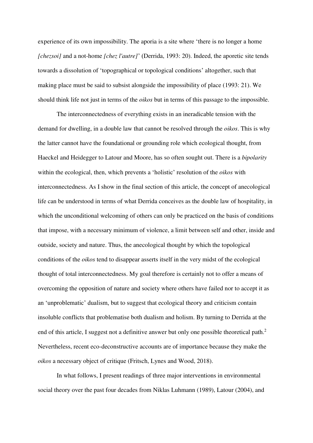experience of its own impossibility. The aporia is a site where 'there is no longer a home *[chezsoi]* and a not-home *[chez l'autre]*' (Derrida, 1993: 20). Indeed, the aporetic site tends towards a dissolution of 'topographical or topological conditions' altogether, such that making place must be said to subsist alongside the impossibility of place (1993: 21). We should think life not just in terms of the *oikos* but in terms of this passage to the impossible.

The interconnectedness of everything exists in an ineradicable tension with the demand for dwelling, in a double law that cannot be resolved through the *oikos*. This is why the latter cannot have the foundational or grounding role which ecological thought, from Haeckel and Heidegger to Latour and Moore, has so often sought out. There is a *bipolarity* within the ecological, then, which prevents a 'holistic' resolution of the *oikos* with interconnectedness. As I show in the final section of this article, the concept of anecological life can be understood in terms of what Derrida conceives as the double law of hospitality, in which the unconditional welcoming of others can only be practiced on the basis of conditions that impose, with a necessary minimum of violence, a limit between self and other, inside and outside, society and nature. Thus, the anecological thought by which the topological conditions of the *oikos* tend to disappear asserts itself in the very midst of the ecological thought of total interconnectedness. My goal therefore is certainly not to offer a means of overcoming the opposition of nature and society where others have failed nor to accept it as an 'unproblematic' dualism, but to suggest that ecological theory and criticism contain insoluble conflicts that problematise both dualism and holism. By turning to Derrida at the end of this article, I suggest not a definitive answer but only one possible theoretical path.<sup>2</sup> Nevertheless, recent eco-deconstructive accounts are of importance because they make the *oikos* a necessary object of critique (Fritsch, Lynes and Wood, 2018).

In what follows, I present readings of three major interventions in environmental social theory over the past four decades from Niklas Luhmann (1989), Latour (2004), and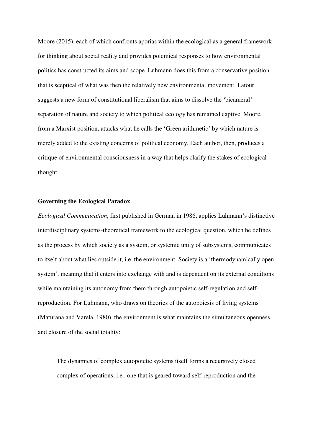Moore (2015), each of which confronts aporias within the ecological as a general framework for thinking about social reality and provides polemical responses to how environmental politics has constructed its aims and scope. Luhmann does this from a conservative position that is sceptical of what was then the relatively new environmental movement. Latour suggests a new form of constitutional liberalism that aims to dissolve the 'bicameral' separation of nature and society to which political ecology has remained captive. Moore, from a Marxist position, attacks what he calls the 'Green arithmetic' by which nature is merely added to the existing concerns of political economy. Each author, then, produces a critique of environmental consciousness in a way that helps clarify the stakes of ecological thought.

#### **Governing the Ecological Paradox**

*Ecological Communication*, first published in German in 1986, applies Luhmann's distinctive interdisciplinary systems-theoretical framework to the ecological question, which he defines as the process by which society as a system, or systemic unity of subsystems, communicates to itself about what lies outside it, i.e. the environment. Society is a 'thermodynamically open system', meaning that it enters into exchange with and is dependent on its external conditions while maintaining its autonomy from them through autopoietic self-regulation and selfreproduction. For Luhmann, who draws on theories of the autopoiesis of living systems (Maturana and Varela, 1980), the environment is what maintains the simultaneous openness and closure of the social totality:

The dynamics of complex autopoietic systems itself forms a recursively closed complex of operations, i.e., one that is geared toward self-reproduction and the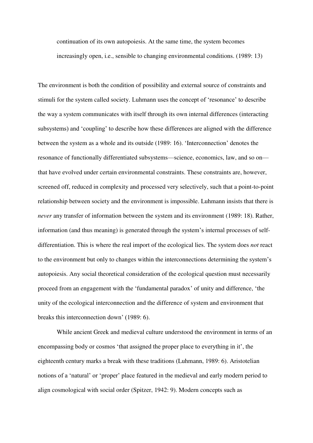continuation of its own autopoiesis. At the same time, the system becomes increasingly open, i.e., sensible to changing environmental conditions. (1989: 13)

The environment is both the condition of possibility and external source of constraints and stimuli for the system called society. Luhmann uses the concept of 'resonance' to describe the way a system communicates with itself through its own internal differences (interacting subsystems) and 'coupling' to describe how these differences are aligned with the difference between the system as a whole and its outside (1989: 16). 'Interconnection' denotes the resonance of functionally differentiated subsystems—science, economics, law, and so on that have evolved under certain environmental constraints. These constraints are, however, screened off, reduced in complexity and processed very selectively, such that a point-to-point relationship between society and the environment is impossible. Luhmann insists that there is *never* any transfer of information between the system and its environment (1989: 18). Rather, information (and thus meaning) is generated through the system's internal processes of selfdifferentiation. This is where the real import of the ecological lies. The system does *not* react to the environment but only to changes within the interconnections determining the system's autopoiesis. Any social theoretical consideration of the ecological question must necessarily proceed from an engagement with the 'fundamental paradox' of unity and difference, 'the unity of the ecological interconnection and the difference of system and environment that breaks this interconnection down' (1989: 6).

While ancient Greek and medieval culture understood the environment in terms of an encompassing body or cosmos 'that assigned the proper place to everything in it', the eighteenth century marks a break with these traditions (Luhmann, 1989: 6). Aristotelian notions of a 'natural' or 'proper' place featured in the medieval and early modern period to align cosmological with social order (Spitzer, 1942: 9). Modern concepts such as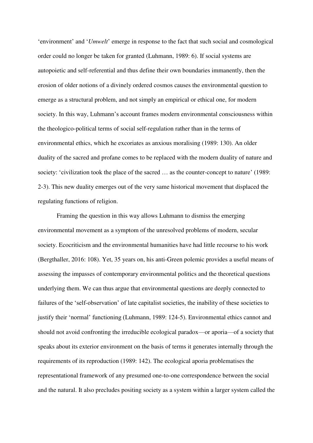'environment' and '*Umwelt*' emerge in response to the fact that such social and cosmological order could no longer be taken for granted (Luhmann, 1989: 6). If social systems are autopoietic and self-referential and thus define their own boundaries immanently, then the erosion of older notions of a divinely ordered cosmos causes the environmental question to emerge as a structural problem, and not simply an empirical or ethical one, for modern society. In this way, Luhmann's account frames modern environmental consciousness within the theologico-political terms of social self-regulation rather than in the terms of environmental ethics, which he excoriates as anxious moralising (1989: 130). An older duality of the sacred and profane comes to be replaced with the modern duality of nature and society: 'civilization took the place of the sacred … as the counter-concept to nature' (1989: 2-3). This new duality emerges out of the very same historical movement that displaced the regulating functions of religion.

Framing the question in this way allows Luhmann to dismiss the emerging environmental movement as a symptom of the unresolved problems of modern, secular society. Ecocriticism and the environmental humanities have had little recourse to his work (Bergthaller, 2016: 108). Yet, 35 years on, his anti-Green polemic provides a useful means of assessing the impasses of contemporary environmental politics and the theoretical questions underlying them. We can thus argue that environmental questions are deeply connected to failures of the 'self-observation' of late capitalist societies, the inability of these societies to justify their 'normal' functioning (Luhmann, 1989: 124-5). Environmental ethics cannot and should not avoid confronting the irreducible ecological paradox—or aporia—of a society that speaks about its exterior environment on the basis of terms it generates internally through the requirements of its reproduction (1989: 142). The ecological aporia problematises the representational framework of any presumed one-to-one correspondence between the social and the natural. It also precludes positing society as a system within a larger system called the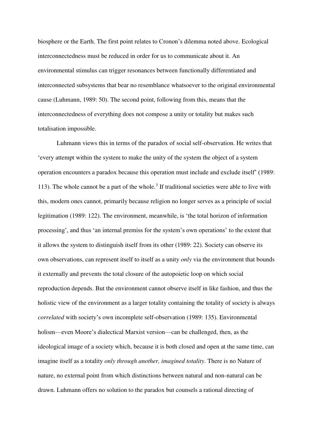biosphere or the Earth. The first point relates to Cronon's dilemma noted above. Ecological interconnectedness must be reduced in order for us to communicate about it. An environmental stimulus can trigger resonances between functionally differentiated and interconnected subsystems that bear no resemblance whatsoever to the original environmental cause (Luhmann, 1989: 50). The second point, following from this, means that the interconnectedness of everything does not compose a unity or totality but makes such totalisation impossible.

Luhmann views this in terms of the paradox of social self-observation. He writes that 'every attempt within the system to make the unity of the system the object of a system operation encounters a paradox because this operation must include and exclude itself' (1989: 113). The whole cannot be a part of the whole.<sup>3</sup> If traditional societies were able to live with this, modern ones cannot, primarily because religion no longer serves as a principle of social legitimation (1989: 122). The environment, meanwhile, is 'the total horizon of information processing', and thus 'an internal premiss for the system's own operations' to the extent that it allows the system to distinguish itself from its other (1989: 22). Society can observe its own observations, can represent itself to itself as a unity *only* via the environment that bounds it externally and prevents the total closure of the autopoietic loop on which social reproduction depends. But the environment cannot observe itself in like fashion, and thus the holistic view of the environment as a larger totality containing the totality of society is always *correlated* with society's own incomplete self-observation (1989: 135). Environmental holism—even Moore's dialectical Marxist version—can be challenged, then, as the ideological image of a society which, because it is both closed and open at the same time, can imagine itself as a totality *only through another, imagined totality*. There is no Nature of nature, no external point from which distinctions between natural and non-natural can be drawn. Luhmann offers no solution to the paradox but counsels a rational directing of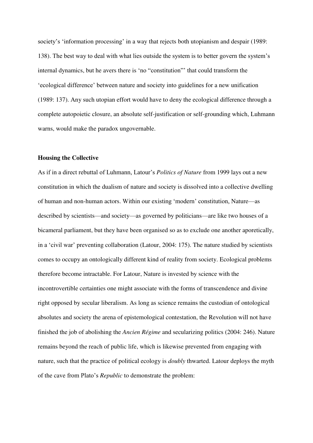society's 'information processing' in a way that rejects both utopianism and despair (1989: 138). The best way to deal with what lies outside the system is to better govern the system's internal dynamics, but he avers there is 'no "constitution"' that could transform the 'ecological difference' between nature and society into guidelines for a new unification (1989: 137). Any such utopian effort would have to deny the ecological difference through a complete autopoietic closure, an absolute self-justification or self-grounding which, Luhmann warns, would make the paradox ungovernable.

#### **Housing the Collective**

As if in a direct rebuttal of Luhmann, Latour's *Politics of Nature* from 1999 lays out a new constitution in which the dualism of nature and society is dissolved into a collective dwelling of human and non-human actors. Within our existing 'modern' constitution, Nature—as described by scientists—and society—as governed by politicians—are like two houses of a bicameral parliament, but they have been organised so as to exclude one another aporetically, in a 'civil war' preventing collaboration (Latour, 2004: 175). The nature studied by scientists comes to occupy an ontologically different kind of reality from society. Ecological problems therefore become intractable. For Latour, Nature is invested by science with the incontrovertible certainties one might associate with the forms of transcendence and divine right opposed by secular liberalism. As long as science remains the custodian of ontological absolutes and society the arena of epistemological contestation, the Revolution will not have finished the job of abolishing the *Ancien Régime* and secularizing politics (2004: 246). Nature remains beyond the reach of public life, which is likewise prevented from engaging with nature, such that the practice of political ecology is *doubly* thwarted. Latour deploys the myth of the cave from Plato's *Republic* to demonstrate the problem: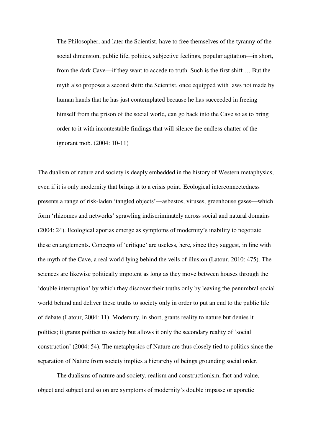The Philosopher, and later the Scientist, have to free themselves of the tyranny of the social dimension, public life, politics, subjective feelings, popular agitation—in short, from the dark Cave—if they want to accede to truth. Such is the first shift … But the myth also proposes a second shift: the Scientist, once equipped with laws not made by human hands that he has just contemplated because he has succeeded in freeing himself from the prison of the social world, can go back into the Cave so as to bring order to it with incontestable findings that will silence the endless chatter of the ignorant mob. (2004: 10-11)

The dualism of nature and society is deeply embedded in the history of Western metaphysics, even if it is only modernity that brings it to a crisis point. Ecological interconnectedness presents a range of risk-laden 'tangled objects'—asbestos, viruses, greenhouse gases—which form 'rhizomes and networks' sprawling indiscriminately across social and natural domains (2004: 24). Ecological aporias emerge as symptoms of modernity's inability to negotiate these entanglements. Concepts of 'critique' are useless, here, since they suggest, in line with the myth of the Cave, a real world lying behind the veils of illusion (Latour, 2010: 475). The sciences are likewise politically impotent as long as they move between houses through the 'double interruption' by which they discover their truths only by leaving the penumbral social world behind and deliver these truths to society only in order to put an end to the public life of debate (Latour, 2004: 11). Modernity, in short, grants reality to nature but denies it politics; it grants politics to society but allows it only the secondary reality of 'social construction' (2004: 54). The metaphysics of Nature are thus closely tied to politics since the separation of Nature from society implies a hierarchy of beings grounding social order.

The dualisms of nature and society, realism and constructionism, fact and value, object and subject and so on are symptoms of modernity's double impasse or aporetic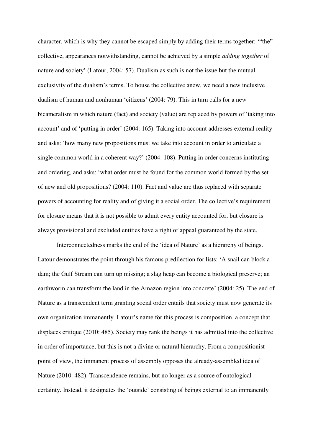character, which is why they cannot be escaped simply by adding their terms together: '"the" collective, appearances notwithstanding, cannot be achieved by a simple *adding together* of nature and society' (Latour, 2004: 57). Dualism as such is not the issue but the mutual exclusivity of the dualism's terms. To house the collective anew, we need a new inclusive dualism of human and nonhuman 'citizens' (2004: 79). This in turn calls for a new bicameralism in which nature (fact) and society (value) are replaced by powers of 'taking into account' and of 'putting in order' (2004: 165). Taking into account addresses external reality and asks: 'how many new propositions must we take into account in order to articulate a single common world in a coherent way?' (2004: 108). Putting in order concerns instituting and ordering, and asks: 'what order must be found for the common world formed by the set of new and old propositions? (2004: 110). Fact and value are thus replaced with separate powers of accounting for reality and of giving it a social order. The collective's requirement for closure means that it is not possible to admit every entity accounted for, but closure is always provisional and excluded entities have a right of appeal guaranteed by the state.

Interconnectedness marks the end of the 'idea of Nature' as a hierarchy of beings. Latour demonstrates the point through his famous predilection for lists: 'A snail can block a dam; the Gulf Stream can turn up missing; a slag heap can become a biological preserve; an earthworm can transform the land in the Amazon region into concrete' (2004: 25). The end of Nature as a transcendent term granting social order entails that society must now generate its own organization immanently. Latour's name for this process is composition, a concept that displaces critique (2010: 485). Society may rank the beings it has admitted into the collective in order of importance, but this is not a divine or natural hierarchy. From a compositionist point of view, the immanent process of assembly opposes the already-assembled idea of Nature (2010: 482). Transcendence remains, but no longer as a source of ontological certainty. Instead, it designates the 'outside' consisting of beings external to an immanently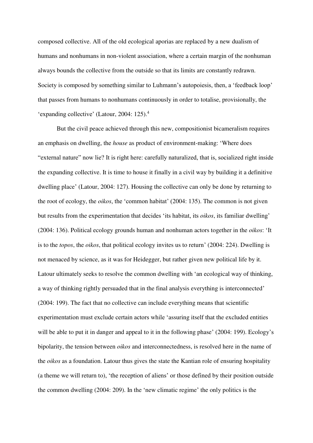composed collective. All of the old ecological aporias are replaced by a new dualism of humans and nonhumans in non-violent association, where a certain margin of the nonhuman always bounds the collective from the outside so that its limits are constantly redrawn. Society is composed by something similar to Luhmann's autopoiesis, then, a 'feedback loop' that passes from humans to nonhumans continuously in order to totalise, provisionally, the 'expanding collective' (Latour, 2004: 125).<sup>4</sup>

But the civil peace achieved through this new, compositionist bicameralism requires an emphasis on dwelling, the *house* as product of environment-making: 'Where does "external nature" now lie? It is right here: carefully naturalized, that is, socialized right inside the expanding collective. It is time to house it finally in a civil way by building it a definitive dwelling place' (Latour, 2004: 127). Housing the collective can only be done by returning to the root of ecology, the *oikos*, the 'common habitat' (2004: 135). The common is not given but results from the experimentation that decides 'its habitat, its *oikos*, its familiar dwelling' (2004: 136). Political ecology grounds human and nonhuman actors together in the *oikos*: 'It is to the *topos*, the *oikos*, that political ecology invites us to return' (2004: 224). Dwelling is not menaced by science, as it was for Heidegger, but rather given new political life by it. Latour ultimately seeks to resolve the common dwelling with 'an ecological way of thinking, a way of thinking rightly persuaded that in the final analysis everything is interconnected' (2004: 199). The fact that no collective can include everything means that scientific experimentation must exclude certain actors while 'assuring itself that the excluded entities will be able to put it in danger and appeal to it in the following phase' (2004: 199). Ecology's bipolarity, the tension between *oikos* and interconnectedness, is resolved here in the name of the *oikos* as a foundation. Latour thus gives the state the Kantian role of ensuring hospitality (a theme we will return to), 'the reception of aliens' or those defined by their position outside the common dwelling (2004: 209). In the 'new climatic regime' the only politics is the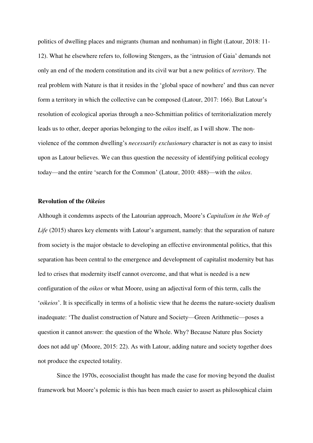politics of dwelling places and migrants (human and nonhuman) in flight (Latour, 2018: 11- 12). What he elsewhere refers to, following Stengers, as the 'intrusion of Gaia' demands not only an end of the modern constitution and its civil war but a new politics of *territory*. The real problem with Nature is that it resides in the 'global space of nowhere' and thus can never form a territory in which the collective can be composed (Latour, 2017: 166). But Latour's resolution of ecological aporias through a neo-Schmittian politics of territorialization merely leads us to other, deeper aporias belonging to the *oikos* itself, as I will show. The nonviolence of the common dwelling's *necessarily exclusionary* character is not as easy to insist upon as Latour believes. We can thus question the necessity of identifying political ecology today—and the entire 'search for the Common' (Latour, 2010: 488)—with the *oikos*.

#### **Revolution of the** *Oikeios*

Although it condemns aspects of the Latourian approach, Moore's *Capitalism in the Web of Life* (2015) shares key elements with Latour's argument, namely: that the separation of nature from society is the major obstacle to developing an effective environmental politics, that this separation has been central to the emergence and development of capitalist modernity but has led to crises that modernity itself cannot overcome, and that what is needed is a new configuration of the *oikos* or what Moore, using an adjectival form of this term, calls the '*oikeios*'. It is specifically in terms of a holistic view that he deems the nature-society dualism inadequate: 'The dualist construction of Nature and Society—Green Arithmetic—poses a question it cannot answer: the question of the Whole. Why? Because Nature plus Society does not add up' (Moore, 2015: 22). As with Latour, adding nature and society together does not produce the expected totality.

Since the 1970s, ecosocialist thought has made the case for moving beyond the dualist framework but Moore's polemic is this has been much easier to assert as philosophical claim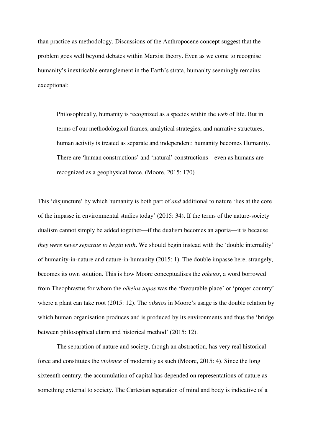than practice as methodology. Discussions of the Anthropocene concept suggest that the problem goes well beyond debates within Marxist theory. Even as we come to recognise humanity's inextricable entanglement in the Earth's strata, humanity seemingly remains exceptional:

Philosophically, humanity is recognized as a species within the *web* of life. But in terms of our methodological frames, analytical strategies, and narrative structures, human activity is treated as separate and independent: humanity becomes Humanity. There are 'human constructions' and 'natural' constructions—even as humans are recognized as a geophysical force. (Moore, 2015: 170)

This 'disjuncture' by which humanity is both part of *and* additional to nature 'lies at the core of the impasse in environmental studies today' (2015: 34). If the terms of the nature-society dualism cannot simply be added together—if the dualism becomes an aporia—it is because *they were never separate to begin with*. We should begin instead with the 'double internality' of humanity-in-nature and nature-in-humanity (2015: 1). The double impasse here, strangely, becomes its own solution. This is how Moore conceptualises the *oikeios*, a word borrowed from Theophrastus for whom the *oikeios topos* was the 'favourable place' or 'proper country' where a plant can take root (2015: 12). The *oikeios* in Moore's usage is the double relation by which human organisation produces and is produced by its environments and thus the 'bridge between philosophical claim and historical method' (2015: 12).

The separation of nature and society, though an abstraction, has very real historical force and constitutes the *violence* of modernity as such (Moore, 2015: 4). Since the long sixteenth century, the accumulation of capital has depended on representations of nature as something external to society. The Cartesian separation of mind and body is indicative of a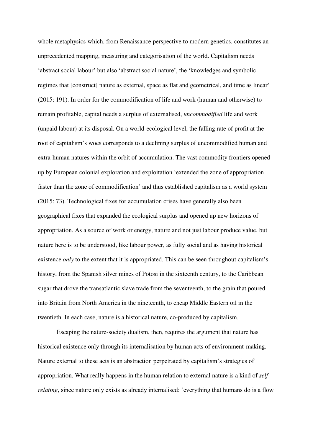whole metaphysics which, from Renaissance perspective to modern genetics, constitutes an unprecedented mapping, measuring and categorisation of the world. Capitalism needs 'abstract social labour' but also 'abstract social nature', the 'knowledges and symbolic regimes that [construct] nature as external, space as flat and geometrical, and time as linear' (2015: 191). In order for the commodification of life and work (human and otherwise) to remain profitable, capital needs a surplus of externalised, *uncommodified* life and work (unpaid labour) at its disposal. On a world-ecological level, the falling rate of profit at the root of capitalism's woes corresponds to a declining surplus of uncommodified human and extra-human natures within the orbit of accumulation. The vast commodity frontiers opened up by European colonial exploration and exploitation 'extended the zone of appropriation faster than the zone of commodification' and thus established capitalism as a world system (2015: 73). Technological fixes for accumulation crises have generally also been geographical fixes that expanded the ecological surplus and opened up new horizons of appropriation. As a source of work or energy, nature and not just labour produce value, but nature here is to be understood, like labour power, as fully social and as having historical existence *only* to the extent that it is appropriated. This can be seen throughout capitalism's history, from the Spanish silver mines of Potosi in the sixteenth century, to the Caribbean sugar that drove the transatlantic slave trade from the seventeenth, to the grain that poured into Britain from North America in the nineteenth, to cheap Middle Eastern oil in the twentieth. In each case, nature is a historical nature, co-produced by capitalism.

Escaping the nature-society dualism, then, requires the argument that nature has historical existence only through its internalisation by human acts of environment-making. Nature external to these acts is an abstraction perpetrated by capitalism's strategies of appropriation. What really happens in the human relation to external nature is a kind of *selfrelating*, since nature only exists as already internalised: 'everything that humans do is a flow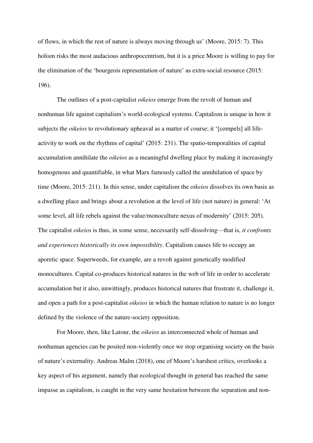of flows, in which the rest of nature is always moving through us' (Moore, 2015: 7). This holism risks the most audacious anthropocentrism, but it is a price Moore is willing to pay for the elimination of the 'bourgeois representation of nature' as extra-social resource (2015: 196).

The outlines of a post-capitalist *oikeios* emerge from the revolt of human and nonhuman life against capitalism's world-ecological systems. Capitalism is unique in how it subjects the *oikeios* to revolutionary upheaval as a matter of course; it '[compels] all lifeactivity to work on the rhythms of capital' (2015: 231). The spatio-temporalities of capital accumulation annihilate the *oikeios* as a meaningful dwelling place by making it increasingly homogenous and quantifiable, in what Marx famously called the annihilation of space by time (Moore, 2015: 211). In this sense, under capitalism the *oikeios* dissolves its own basis as a dwelling place and brings about a revolution at the level of life (not nature) in general: 'At some level, all life rebels against the value/monoculture nexus of modernity' (2015: 205). The capitalist *oikeios* is thus, in some sense, necessarily self-dissolving—that is, *it confronts and experiences historically its own impossibility*. Capitalism causes life to occupy an aporetic space. Superweeds, for example, are a revolt against genetically modified monocultures. Capital co-produces historical natures in the web of life in order to accelerate accumulation but it also, unwittingly, produces historical natures that frustrate it, challenge it, and open a path for a post-capitalist *oikeios* in which the human relation to nature is no longer defined by the violence of the nature-society opposition.

For Moore, then, like Latour, the *oikeios* as interconnected whole of human and nonhuman agencies can be posited non-violently once we stop organising society on the basis of nature's externality. Andreas Malm (2018), one of Moore's harshest critics, overlooks a key aspect of his argument, namely that ecological thought in general has reached the same impasse as capitalism, is caught in the very same hesitation between the separation and non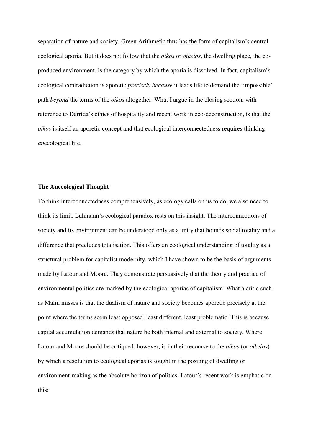separation of nature and society. Green Arithmetic thus has the form of capitalism's central ecological aporia. But it does not follow that the *oikos* or *oikeios*, the dwelling place, the coproduced environment, is the category by which the aporia is dissolved. In fact, capitalism's ecological contradiction is aporetic *precisely because* it leads life to demand the 'impossible' path *beyond* the terms of the *oikos* altogether. What I argue in the closing section, with reference to Derrida's ethics of hospitality and recent work in eco-deconstruction, is that the *oikos* is itself an aporetic concept and that ecological interconnectedness requires thinking *an*ecological life.

#### **The Anecological Thought**

To think interconnectedness comprehensively, as ecology calls on us to do, we also need to think its limit. Luhmann's ecological paradox rests on this insight. The interconnections of society and its environment can be understood only as a unity that bounds social totality and a difference that precludes totalisation. This offers an ecological understanding of totality as a structural problem for capitalist modernity, which I have shown to be the basis of arguments made by Latour and Moore. They demonstrate persuasively that the theory and practice of environmental politics are marked by the ecological aporias of capitalism. What a critic such as Malm misses is that the dualism of nature and society becomes aporetic precisely at the point where the terms seem least opposed, least different, least problematic. This is because capital accumulation demands that nature be both internal and external to society. Where Latour and Moore should be critiqued, however, is in their recourse to the *oikos* (or *oikeios*) by which a resolution to ecological aporias is sought in the positing of dwelling or environment-making as the absolute horizon of politics. Latour's recent work is emphatic on this: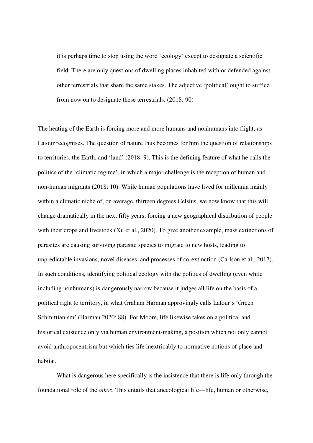it is perhaps time to stop using the word 'ecology' except to designate a scientific field. There are only questions of dwelling places inhabited with or defended against other terrestrials that share the same stakes. The adjective 'political' ought to suffice from now on to designate these terrestrials. (2018: 90)

The heating of the Earth is forcing more and more humans and nonhumans into flight, as Latour recognises. The question of nature thus becomes for him the question of relationships to territories, the Earth, and 'land' (2018: 9). This is the defining feature of what he calls the politics of the 'climatic regime', in which a major challenge is the reception of human and non-human migrants (2018: 10). While human populations have lived for millennia mainly within a climatic niche of, on average, thirteen degrees Celsius, we now know that this will change dramatically in the next fifty years, forcing a new geographical distribution of people with their crops and livestock (Xu et al., 2020). To give another example, mass extinctions of parasites are causing surviving parasite species to migrate to new hosts, leading to unpredictable invasions, novel diseases, and processes of co-extinction (Carlson et al., 2017). In such conditions, identifying political ecology with the politics of dwelling (even while including nonhumans) is dangerously narrow because it judges all life on the basis of a political right to territory, in what Graham Harman approvingly calls Latour's 'Green Schmittianism' (Harman 2020: 88). For Moore, life likewise takes on a political and historical existence only via human environment-making, a position which not only cannot avoid anthropocentrism but which ties life inextricably to normative notions of place and habitat.

What is dangerous here specifically is the insistence that there is life only through the foundational role of the *oikos*. This entails that anecological life—life, human or otherwise,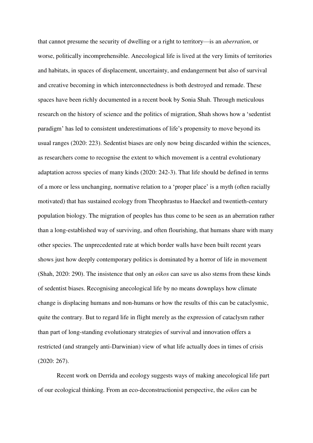that cannot presume the security of dwelling or a right to territory—is an *aberration*, or worse, politically incomprehensible. Anecological life is lived at the very limits of territories and habitats, in spaces of displacement, uncertainty, and endangerment but also of survival and creative becoming in which interconnectedness is both destroyed and remade. These spaces have been richly documented in a recent book by Sonia Shah. Through meticulous research on the history of science and the politics of migration, Shah shows how a 'sedentist paradigm' has led to consistent underestimations of life's propensity to move beyond its usual ranges (2020: 223). Sedentist biases are only now being discarded within the sciences, as researchers come to recognise the extent to which movement is a central evolutionary adaptation across species of many kinds (2020: 242-3). That life should be defined in terms of a more or less unchanging, normative relation to a 'proper place' is a myth (often racially motivated) that has sustained ecology from Theophrastus to Haeckel and twentieth-century population biology. The migration of peoples has thus come to be seen as an aberration rather than a long-established way of surviving, and often flourishing, that humans share with many other species. The unprecedented rate at which border walls have been built recent years shows just how deeply contemporary politics is dominated by a horror of life in movement (Shah, 2020: 290). The insistence that only an *oikos* can save us also stems from these kinds of sedentist biases. Recognising anecological life by no means downplays how climate change is displacing humans and non-humans or how the results of this can be cataclysmic, quite the contrary. But to regard life in flight merely as the expression of cataclysm rather than part of long-standing evolutionary strategies of survival and innovation offers a restricted (and strangely anti-Darwinian) view of what life actually does in times of crisis (2020: 267).

Recent work on Derrida and ecology suggests ways of making anecological life part of our ecological thinking. From an eco-deconstructionist perspective, the *oikos* can be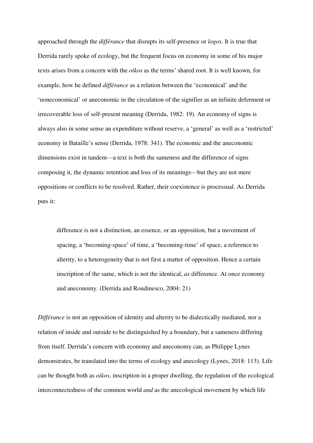approached through the *différance* that disrupts its self-presence or *logos*. It is true that Derrida rarely spoke of ecology, but the frequent focus on economy in some of his major texts arises from a concern with the *oikos* as the terms' shared root. It is well known, for example, how he defined *différance* as a relation between the 'economical' and the 'noneconomical' or aneconomic in the circulation of the signifier as an infinite deferment or irrecoverable loss of self-present meaning (Derrida, 1982: 19). An economy of signs is always also in some sense an expenditure without reserve, a 'general' as well as a 'restricted' economy in Bataille's sense (Derrida, 1978: 341). The economic and the aneconomic dimensions exist in tandem—a text is both the sameness and the difference of signs composing it, the dynamic retention and loss of its meanings—but they are not mere oppositions or conflicts to be resolved. Rather, their coexistence is processual. As Derrida puts it:

differ*a*nce is not a distinction, an essence, or an opposition, but a movement of spacing, a 'becoming-space' of time, a 'becoming-time' of space, a reference to alterity, to a heterogeneity that is not first a matter of opposition. Hence a certain inscription of the same, which is not the identical, *as* differ*a*nce. At once economy and aneconomy. (Derrida and Roudinesco, 2004: 21)

*Différance* is not an opposition of identity and alterity to be dialectically mediated, nor a relation of inside and outside to be distinguished by a boundary, but a sameness differing from itself. Derrida's concern with economy and aneconomy can, as Philippe Lynes demonstrates, be translated into the terms of ecology and anecology (Lynes, 2018: 113). Life can be thought both as *oikos*, inscription in a proper dwelling, the regulation of the ecological interconnectedness of the common world *and* as the anecological movement by which life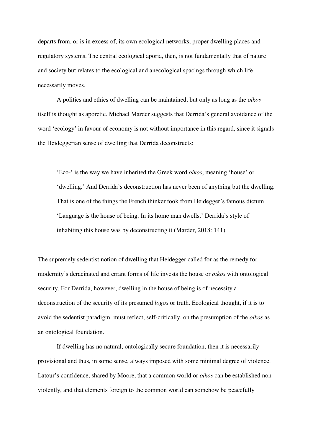departs from, or is in excess of, its own ecological networks, proper dwelling places and regulatory systems. The central ecological aporia, then, is not fundamentally that of nature and society but relates to the ecological and anecological spacings through which life necessarily moves.

A politics and ethics of dwelling can be maintained, but only as long as the *oikos* itself is thought as aporetic. Michael Marder suggests that Derrida's general avoidance of the word 'ecology' in favour of economy is not without importance in this regard, since it signals the Heideggerian sense of dwelling that Derrida deconstructs:

'Eco-' is the way we have inherited the Greek word *oikos*, meaning 'house' or 'dwelling.' And Derrida's deconstruction has never been of anything but the dwelling. That is one of the things the French thinker took from Heidegger's famous dictum 'Language is the house of being. In its home man dwells.' Derrida's style of inhabiting this house was by deconstructing it (Marder, 2018: 141)

The supremely sedentist notion of dwelling that Heidegger called for as the remedy for modernity's deracinated and errant forms of life invests the house or *oikos* with ontological security. For Derrida, however, dwelling in the house of being is of necessity a deconstruction of the security of its presumed *logos* or truth. Ecological thought, if it is to avoid the sedentist paradigm, must reflect, self-critically, on the presumption of the *oikos* as an ontological foundation.

 If dwelling has no natural, ontologically secure foundation, then it is necessarily provisional and thus, in some sense, always imposed with some minimal degree of violence. Latour's confidence, shared by Moore, that a common world or *oikos* can be established nonviolently, and that elements foreign to the common world can somehow be peacefully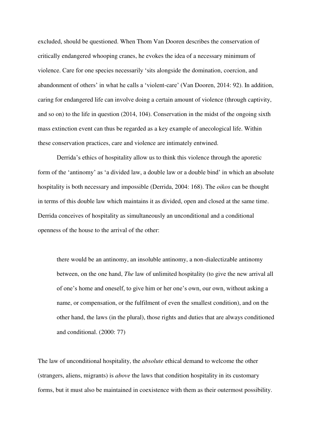excluded, should be questioned. When Thom Van Dooren describes the conservation of critically endangered whooping cranes, he evokes the idea of a necessary minimum of violence. Care for one species necessarily 'sits alongside the domination, coercion, and abandonment of others' in what he calls a 'violent-care' (Van Dooren, 2014: 92). In addition, caring for endangered life can involve doing a certain amount of violence (through captivity, and so on) to the life in question (2014, 104). Conservation in the midst of the ongoing sixth mass extinction event can thus be regarded as a key example of anecological life. Within these conservation practices, care and violence are intimately entwined.

Derrida's ethics of hospitality allow us to think this violence through the aporetic form of the 'antinomy' as 'a divided law, a double law or a double bind' in which an absolute hospitality is both necessary and impossible (Derrida, 2004: 168). The *oikos* can be thought in terms of this double law which maintains it as divided, open and closed at the same time. Derrida conceives of hospitality as simultaneously an unconditional and a conditional openness of the house to the arrival of the other:

there would be an antinomy, an insoluble antinomy, a non-dialectizable antinomy between, on the one hand, *The* law of unlimited hospitality (to give the new arrival all of one's home and oneself, to give him or her one's own, our own, without asking a name, or compensation, or the fulfilment of even the smallest condition), and on the other hand, the laws (in the plural), those rights and duties that are always conditioned and conditional. (2000: 77)

The law of unconditional hospitality, the *absolute* ethical demand to welcome the other (strangers, aliens, migrants) is *above* the laws that condition hospitality in its customary forms, but it must also be maintained in coexistence with them as their outermost possibility.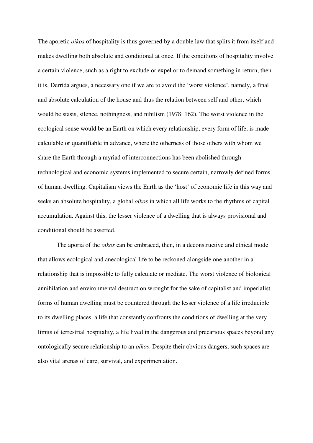The aporetic *oikos* of hospitality is thus governed by a double law that splits it from itself and makes dwelling both absolute and conditional at once. If the conditions of hospitality involve a certain violence, such as a right to exclude or expel or to demand something in return, then it is, Derrida argues, a necessary one if we are to avoid the 'worst violence', namely, a final and absolute calculation of the house and thus the relation between self and other, which would be stasis, silence, nothingness, and nihilism (1978: 162). The worst violence in the ecological sense would be an Earth on which every relationship, every form of life, is made calculable or quantifiable in advance, where the otherness of those others with whom we share the Earth through a myriad of interconnections has been abolished through technological and economic systems implemented to secure certain, narrowly defined forms of human dwelling. Capitalism views the Earth as the 'host' of economic life in this way and seeks an absolute hospitality, a global *oikos* in which all life works to the rhythms of capital accumulation. Against this, the lesser violence of a dwelling that is always provisional and conditional should be asserted.

The aporia of the *oikos* can be embraced, then, in a deconstructive and ethical mode that allows ecological and anecological life to be reckoned alongside one another in a relationship that is impossible to fully calculate or mediate. The worst violence of biological annihilation and environmental destruction wrought for the sake of capitalist and imperialist forms of human dwelling must be countered through the lesser violence of a life irreducible to its dwelling places, a life that constantly confronts the conditions of dwelling at the very limits of terrestrial hospitality, a life lived in the dangerous and precarious spaces beyond any ontologically secure relationship to an *oikos*. Despite their obvious dangers, such spaces are also vital arenas of care, survival, and experimentation.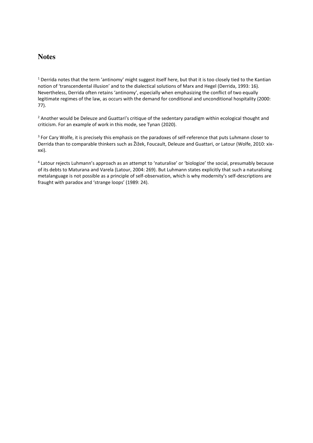# **Notes**

 $1$  Derrida notes that the term 'antinomy' might suggest itself here, but that it is too closely tied to the Kantian notion of 'transcendental illusion' and to the dialectical solutions of Marx and Hegel (Derrida, 1993: 16). Nevertheless, Derrida often retains 'antinomy', especially when emphasizing the conflict of two equally legitimate regimes of the law, as occurs with the demand for conditional and unconditional hospitality (2000: 77).

<sup>2</sup> Another would be Deleuze and Guattari's critique of the sedentary paradigm within ecological thought and criticism. For an example of work in this mode, see Tynan (2020).

<sup>3</sup> For Cary Wolfe, it is precisely this emphasis on the paradoxes of self-reference that puts Luhmann closer to Derrida than to comparable thinkers such as Žižek, Foucault, Deleuze and Guattari, or Latour (Wolfe, 2010: xixxxi).

<sup>4</sup> Latour rejects Luhmann's approach as an attempt to 'naturalise' or 'biologize' the social, presumably because of its debts to Maturana and Varela (Latour, 2004: 269). But Luhmann states explicitly that such a naturalising metalanguage is not possible as a principle of self-observation, which is why modernity's self-descriptions are fraught with paradox and 'strange loops' (1989: 24).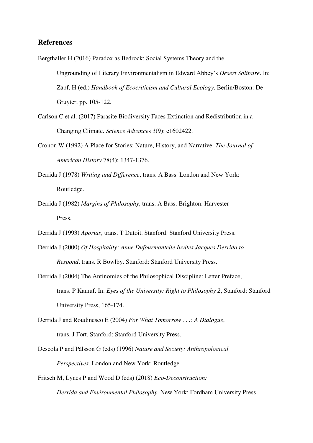## **References**

Bergthaller H (2016) Paradox as Bedrock: Social Systems Theory and the Ungrounding of Literary Environmentalism in Edward Abbey's *Desert Solitaire*. In: Zapf, H (ed.) *Handbook of Ecocriticism and Cultural Ecology*. Berlin/Boston: De Gruyter, pp. 105-122.

- Carlson C et al. (2017) Parasite Biodiversity Faces Extinction and Redistribution in a Changing Climate. *Science Advance*s 3(9): e1602422.
- Cronon W (1992) A Place for Stories: Nature, History, and Narrative. *The Journal of American History* 78(4): 1347-1376.
- Derrida J (1978) *Writing and Difference*, trans. A Bass. London and New York: Routledge.
- Derrida J (1982) *Margins of Philosophy*, trans. A Bass. Brighton: Harvester Press.
- Derrida J (1993) *Aporias*, trans. T Dutoit. Stanford: Stanford University Press.
- Derrida J (2000) *Of Hospitality: Anne Dufourmantelle Invites Jacques Derrida to Respond*, trans. R Bowlby. Stanford: Stanford University Press.
- Derrida J (2004) The Antinomies of the Philosophical Discipline: Letter Preface, trans. P Kamuf. In: *Eyes of the University: Right to Philosophy 2*, Stanford: Stanford University Press, 165-174.
- Derrida J and Roudinesco E (2004) *For What Tomorrow . . .: A Dialogue*, trans. J Fort. Stanford: Stanford University Press.
- Descola P and Pálsson G (eds) (1996) *Nature and Society: Anthropological Perspectives*. London and New York: Routledge.
- Fritsch M, Lynes P and Wood D (eds) (2018) *Eco-Deconstruction:*

*Derrida and Environmental Philosophy*. New York: Fordham University Press.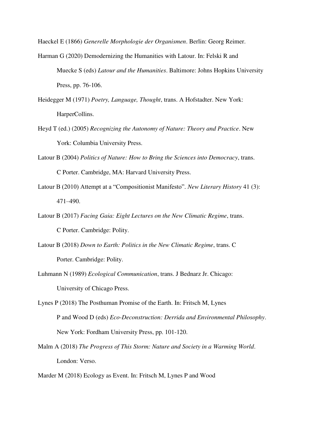Haeckel E (1866) *Generelle Morphologie der Organismen*. Berlin: Georg Reimer.

- Harman G (2020) Demodernizing the Humanities with Latour. In: Felski R and Muecke S (eds) *Latour and the Humanities*. Baltimore: Johns Hopkins University Press, pp. 76-106.
- Heidegger M (1971) *Poetry, Language, Thought*, trans. A Hofstadter. New York: HarperCollins.
- Heyd T (ed.) (2005) *Recognizing the Autonomy of Nature: Theory and Practice*. New York: Columbia University Press.
- Latour B (2004) *Politics of Nature: How to Bring the Sciences into Democracy*, trans. C Porter. Cambridge, MA: Harvard University Press.
- Latour B (2010) Attempt at a "Compositionist Manifesto". *New Literary History* 41 (3): 471–490.
- Latour B (2017) *Facing Gaia: Eight Lectures on the New Climatic Regime*, trans. C Porter. Cambridge: Polity.
- Latour B (2018) *Down to Earth: Politics in the New Climatic Regime*, trans. C Porter. Cambridge: Polity.
- Luhmann N (1989) *Ecological Communication*, trans. J Bednarz Jr. Chicago: University of Chicago Press.
- Lynes P (2018) The Posthuman Promise of the Earth. In: Fritsch M, Lynes P and Wood D (eds) *Eco-Deconstruction: Derrida and Environmental Philosophy*. New York: Fordham University Press, pp. 101-120.
- Malm A (2018) *The Progress of This Storm: Nature and Society in a Warming World*. London: Verso.
- Marder M (2018) Ecology as Event. In: Fritsch M, Lynes P and Wood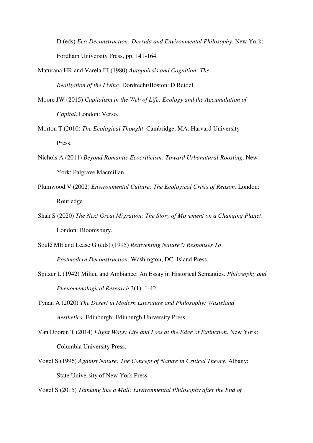D (eds) *Eco-Deconstruction: Derrida and Environmental Philosophy*. New York: Fordham University Press, pp. 141-164.

- Maturana HR and Varela FJ (1980) *Autopoiesis and Cognition: The Realization of the Living*. Dordrecht/Boston: D Reidel.
- Moore JW (2015) *Capitalism in the Web of Life: Ecology and the Accumulation of Capital*. London: Verso.
- Morton T (2010) *The Ecological Thought*. Cambridge, MA: Harvard University Press.
- Nichols A (2011) *Beyond Romantic Ecocriticism: Toward Urbanatural Roosting*. New York: Palgrave Macmillan.
- Plumwood V (2002) *Environmental Culture: The Ecological Crisis of Reason*. London: Routledge.
- Shah S (2020) *The Next Great Migration: The Story of Movement on a Changing Planet*. London: Bloomsbury.

Soulé ME and Lease G (eds) (1995) *Reinventing Nature?: Responses To Postmodern Deconstruction*. Washington, DC: Island Press.

- Spitzer L (1942) Milieu and Ambiance: An Essay in Historical Semantics. *Philosophy and Phenomenological Research* 3(1): 1-42.
- Tynan A (2020) *The Desert in Modern Literature and Philosophy: Wasteland Aesthetics*. Edinburgh: Edinburgh University Press.
- Van Dooren T (2014) *Flight Ways: Life and Loss at the Edge of Extinction*. New York: Columbia University Press.
- Vogel S (1996) *Against Nature: The Concept of Nature in Critical Theory*, Albany: State University of New York Press.

Vogel S (2015) *Thinking like a Mall: Environmental Philosophy after the End of*